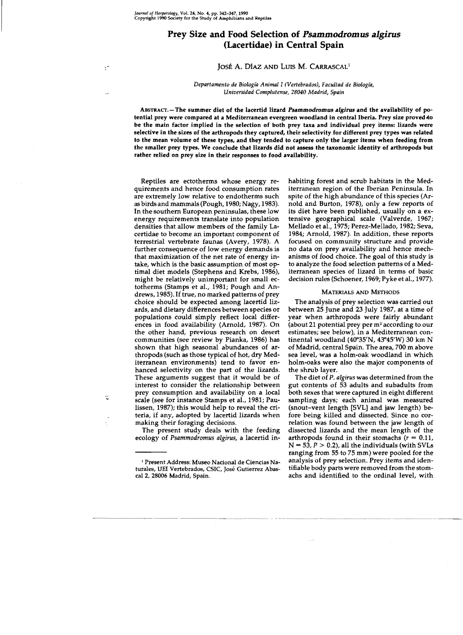# **Prey Size and Food Selection of** *Psammodromus algirus*  **(Lacertidae) in Central Spain**

## JOSÉ A. DÍAZ AND LUIS M. CARRASCAL<sup>1</sup>

## *Departamento de Biología Animal* 1*(Vertebrados), Facultad de Biología, Universidad Complutense, 28040 Madrid, Spain*

ABSTRACT.-The summer diet of the lacertid lizard Psammodromus algirus and the availability of potential prey were compared at a Mediterranean evergreen woodland in central Iberia. Prey size proved to be the main factor implied in the selection of both prey taxa and individual prey items: Iizards were selective in the sizes of the arthropods they captured, their selectivity for difierent prey types was related to the mean volume of these types, and they tended to capture only the larger items when feeding from the smaller prey types. We conclude that lizards did not assess the taxonomic identity *oi* arthropods but rather relied on prey size in their responses to food availability.

Reptiles are ectotherms whose energy requirements and hence food consumption rates are extremely low relative to endotherms such as birds and mammals (Pough, 1980; Nagy, 1983). In the southern European penínsulas, these low energy requirements translate into populatíon densities that allow members of the family Lacertidae to become an important component of terrestrial vertebrate faunas (Avery, 1978). A further consequence of low energy demands ís that maximization of the net rate of energy intake, which is the basic assumption of most optimal diet models (Stephens and Krebs, 1986), might be relatívely unimportant for small ectotherms (Stamps et al., 1981; Pough and Andrews, 1985). If true, no marked patterns of prey choice should be expected among lacertid lizards, and dietary differences between species or populations could simply reflect local differences in food availability (Arnold, 1987). On the other hand, previous research on desert communitíes (see review by Pianka, 1986) has shown that high seasonal abundances of arthropods (such as those typical of hot, dry Mediterranean environments) tend to favor enhanced selectivity on the part of the lizards. These arguments suggest that it would be of interest to consider the relationship between prey consumption and availability on a local scale (see for instance Stamps et aL, 1981; Paulissen, 1987); this would help to reveal the entena, if any, adopted by lacertid lizards when making their foraging decisions.

The present study deals with the feeding ecology of *Psammodromus algirus,* a lacertid inhabitíng forest and scrub habitats in the Mediterranean region of the Iberian Peninsula. In spite of the high abundance of this species (Arnold and Burton, 1978), only a few reports of its diet have been published, usually on a ex· tensive geographical scale (Valverde, 1967; Mellado et aL, 1975; Perez-Mellado, 1982; Seva, 1984; Arnold, 1987). In addition, these reports focused on community structure and provide no data on prey availability and hence mechanisms of food choice. The goal of this study is to analyze the food selection patterns of a Mediterranean species of lizard in terms of basic decision rules (Schoener, 1969; Pyke et aL, 1977).

## MATERIALS AND METHODS

The analysis of prey selection was carried out between 25 June and 23 July 1987, at a time of year when arthropods were fairly abundant (about 21 potential prey per  $m<sup>2</sup>$  according to our estimates; see below), in a Mediterranean con· tinental woodland (40°35'N, 43°45'W) 30 km N of Madrid, central Spain. The area, 700 m aboye sea level, was a holm-oak woodland in which holm-oaks were also the major components of the shrub layer.

The diet of P. *algirus* was determined from the gut contents of 53 adults and subadults from both sexes that were captured in eight different sampling days; each animal was measured (snout-vent length [SVL] and jaw length) before being killed and dissected. Since no correlation was found between the jaw length of dissected lizards and the mean length of the arthropods found in their stomachs  $(r = 0.11)$ ,  $N = 53, P > 0.2$ ), all the individuals (with SVLs ranging from 55 to 75 mm) were pooled for the analysis of prey selection. Prey items and identifiable body parts were removed from the stomachs and identified to the ordinal level, with

<sup>1</sup> Present Address: Museo Nacional de Ciencias Naturales, UEI Vertebrados, CSIC, José Gutierrez Abascal 2, *28006* Madrid, Spain.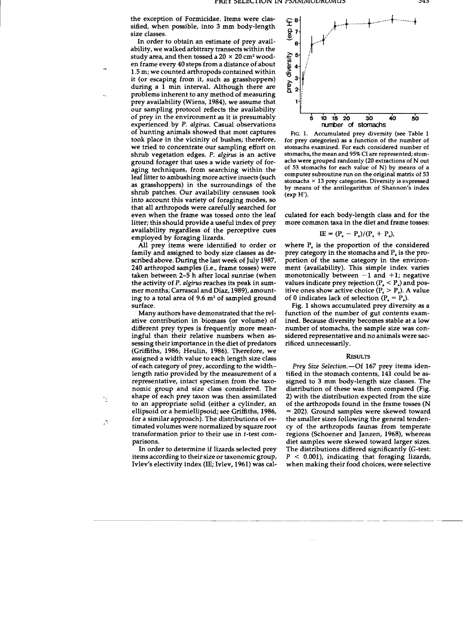the exception of Formicidae. Items were dassified, when possible, into 3 mm body-length size dasses.

In order to obtain an estimate of prey availability, we walked arbitrary transects within the study area, and then tossed a  $20 \times 20$  cm<sup>2</sup> wooden frame every 40 steps from a distance of about 1.5 m; we counted arthropods contained within it (or escaping from it, such as grasshoppers) during a 1 min interval. Although there are problems inherent to any method of measuring prey availability (Wiens, 1984), we assume that our sampling protocol reflects the availability of prey in the environment as it is presumably experienced by P. *algirus.* Casual observations of hunting animals showed that most captures took place in the vicinity of bushes; therefore, we tried to concentrate our sampling effort on shrub vegetation edges. P. *algirus* is an active ground forager that uses a wide variety of foraging techniques, from searching within the leaf litter to ambushing more active insects (such as grasshoppers) in the surroundings of the shrub patches. Our availability censuses took into account this variety of foraging modes, so that alI arthropods were carefully searched for even when the frame was tossed onto the leaf litter; this should provide a useful index of prey availability regardless of the perceptive cues employed by foraging lizards.

AlI prey items were identified to order or family and assigned to body size dasses as described above. During the last week of July 1987, 240 arthropod samples (*i.e.*, frame tosses) were taken between 2-5 h after local sunrise (when the activity of P. *algirus* reaches its peak in summer months; Carrascal and Díaz, 1989), amounting to a total area of 9.6 m2 of sampled ground surface.

Many authors have demonstrated that the relative contribution in biomass (or volume) of different prey types is frequently more meaningful than their relative numbers when assessing their importance in the diet of predators (Griffiths, 1986; Heulin, 1986). Therefore, we assigned a width value to each length size dass of each category of prey, according to the widthlength ratio provided by the measurement of a representative, intact specimen from the taxonomic group and size dass considered. The shape of each prey taxon was then assimilated to an appropriate solid (either a cylinder, an ellipsoid or a hemiellipsoid¡ see Griffiths, 1986, for a similar approach). The distributions of estimated volumes were normalized by square root transformation prior to their use in t-test comparisons.

In order to determine if lizards selected prey items according to their size or taxonomic group, Ivlev's electivity index (lE; Ivlev, 1961) was cal



FIG. 1. Accumulated prey diversity (see Table 1 for prey categories) as a function of the number of stomachs examined. For each considered number of stomachs, the mean and 95% CI are represented; stomachs were grouped randomly (20 extractions of N out of 53 stomachs for each value of N) by means of a computer subroutine run on the original matrix of 53 stomachs  $\times$  13 prey categories. Diversity is expressed by means of the antilogarithm of Shannon's index (exp H').

cuIated for each body-length dass and for the more common taxa in the diet and frame tosses:

$$
IE = (P_s - P_a)/(P_s + P_a),
$$

where  $P_s$  is the proportion of the considered prey category in the stomachs and  $P_a$  is the proportion of the same category in the environment (availability). This simple index varies monotonically between  $-1$  and  $+1$ ; negative values indicate prey rejection  $(P_a < P_a)$  and positive ones show active choice  $(P_s > P_a)$ . A value of 0 indicates lack of selection  $(P_a = P_a)$ .

Fig. 1 shows accumulated prey diversity as a function of the number of gut contents examined. Because diversity becomes stable at a low number of stomachs, the sample size was considered representative and no anímals were sacrificed unnecessarily.

#### **RESULTS**

*Prey Size Selection.-Of* 167 prey items identified in the stomach contents, 141 could be assigned to 3 mm body-length size dasses. The distribution of these was then compared (Fig. 2) with the distribution expected from the size of the arthropods found in the frame tosses (N = 202). Ground samples were skewed toward the smaller sizes following the general tendency of the arthropods faunas from temperate regions (Schoener and Janzen, 1968), whereas diet samples were skewed toward larger sízes. The distributions differed significantly (G-test:  $P < 0.001$ , indicating that foraging lizards, when making their food choices, were selective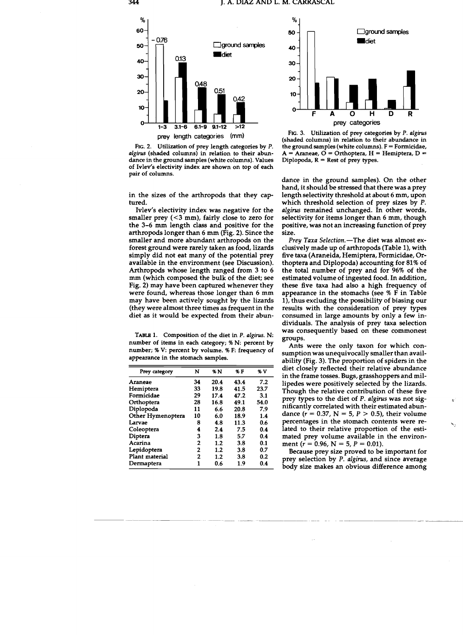

Flc. 2. Utilization of prey length categories by P. *algirus* (shaded columns) in relation to their abundance in the ground samples (white columns). Values of Ivlev's electivity index are shown on top of each pair of columns.

in the sizes of the arthropods that they captured.

Ivlev's electivity index was negative for the smaller prey  $( $3 \text{ mm}$ ), fairly close to zero for$ the 3-6 mm length class and positive for the arthropods longer than 6 mm (Fig. 2). Since the smaller and more abundant arthropods on the forest ground were rarely taken as food, lizards simply did not eat many of the potential prey available in the environment (see Discussion). Arthropods whose length ranged from 3 to 6 mm (which composed the bulk of the diet; see Fig. 2) may have been captured whenever they were found, whereas those longer than 6 mm may have been actively sought by the lizards (they were almost three times as frequent in the diet as it would be expected from their abun-

TABLB 1. Composition of the diet in P. *algirus.* N: number of items in each category; % N: percent by number; % V: percent by volume. % F: frequency of appearance in the stomach samples.

| Prey category     | N  | % N  | %F   | % V  |  |
|-------------------|----|------|------|------|--|
| Araneae           | 34 | 20.4 | 43.4 | 7.2  |  |
| Hemiptera         | 33 | 19.8 | 41.5 | 23.7 |  |
| Formicidae        | 29 | 17.4 | 47.2 | 3.1  |  |
| Orthoptera        | 28 | 16.8 | 49.1 | 54.0 |  |
| Diplopoda         | 11 | 6.6  | 20.8 | 7.9  |  |
| Other Hymenoptera | 10 | 6.0  | 18.9 | 1.4  |  |
| Larvae            | 8  | 4.8  | 11.3 | 0.6  |  |
| Coleoptera        | 4  | 2.4  | 7.5  | 0.4  |  |
| Diptera           | 3  | 1.8  | 5.7  | 0.4  |  |
| Acarina           | 2  | 1.2  | 3.8  | 0.1  |  |
| Lepidoptera       | 2  | 1.2  | 3.8  | 0.7  |  |
| Plant material    | 2  | 1.2  | 3.8  | 0.2  |  |
| Dermaptera        | 1  | 0.6  | 1.9  | 0.4  |  |



Flc. 3. Utilization of prey categories by P. *algirus*  (shaded columns) in relation to their abundance in the ground samples (white columns).  $F = Formicidae$ , A = Araneae,  $\overline{O}$  = Orthoptera, H = Hemiptera, D = Diplopoda, R = Rest of prey types.

dance in the ground samples). On the other hand, it should be stressed that there was a prey length selectivity threshold at about 6 mm, upon which threshold selection of prey sizes by P. *algirus* remained unchanged. In other words, selectivity for items longer than 6 mm, though positive, was not an increasing function of prey size.

*Prey Taxa Selection.-The* diet was almost exclusively made up of arthropods (Table 1), with five taxa (Araneida, Hemiptera, Formicidae, Orthoptera and Diplopoda) accounting for 81% of the total number of prey and for 96% of the estimated volume of ingested food. In addition, these five taxa had also a high frequency of appearance in the stomachs (see % F in Table 1), thus excluding the possibility of biasing our results with the consideration of prey types consumed in large amounts by only a few individuals. The analysis of prey taxa selection was consequently based on these commonest groups.

Ants were the only taxon for which consumption was unequivocally smaller than availability (Fig. 3). The proportion of spiders in the diet closely reflected their relative abundance in the frame tosses. Bugs, grasshoppers and millipedes were positively selected by the lizards. Though the relative contribution of these five prey types to the diet of P. *algirus* was not significantly correlated with their estimated abundance ( $r = 0.37$ , N = 5, P > 0.5), their volume percentages in the stomach contents were re- $\sim$ lated to their relative proportion of the estimated prey volume available in the environment ( $r = 0.96$ , N = 5, P = 0.01).

Because prey size proved to be important for prey selection by P. *algirus,* and since average body size makes an obvious difference among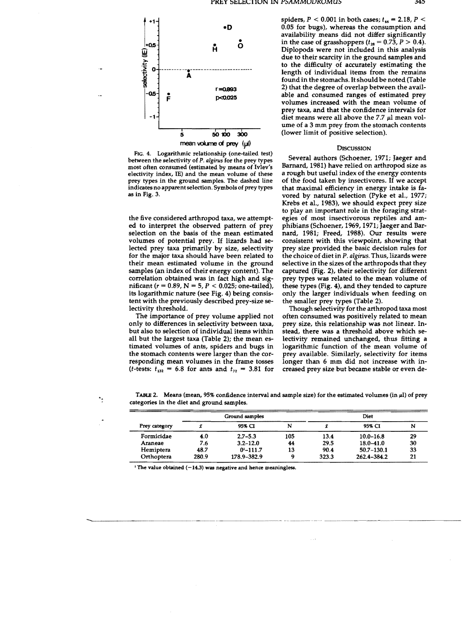

FIG. 4. Logarithmic relationship (one-tailed test) between the selectivity of P. algirus for the prey types m05t often consumed (estimated by means of Ivlev's electivity index, IE) and the mean volume of these prey types in the ground samples. The dashed line indicates no apparent selection. Symbols of prey types as in Fig. 3.

the five considered arthropod taxa, we attempted to interpret the observed pattern of prey selection on the basis of the mean estimated volumes of potential prey. If lizards had selected prey taxa primarily by size, selectivity for the major taxa should have been related to their mean estimated volume in the ground samples (an index of their energy content). The correlation obtained was in fact high and significant ( $r = 0.89$ ,  $N = 5$ ,  $P < 0.025$ ; one-tailed), its logarithmic nature (see Fig. 4) being consistent with the previously described prey-size selectivity threshold.

The importance of prey volume applied not only to differences in selectivity between taxa, but also to selection of individual items within all but the largest taxa (Table 2); the mean estimated volumes of ants, spiders and bugs in the stomach contents were larger than the corresponding mean volumes in the frame tosses (*t*-tests:  $t_{132} = 6.8$  for ants and  $t_{72} = 3.81$  for

spiders,  $P < 0.001$  in both cases;  $t_{.44} = 2.18$ ,  $P <$ 0.05 for bugs), whereas the consumption and availability means did not differ significantly in the case of grasshoppers ( $t_{28} = 0.7\overline{3}$ ,  $P > 0.4$ ). Diplopods were not inc1uded in this analysis due to their scarcity in the ground samples and to the difficulty of accurately estímating the length of individual items from the remains found in the stomachs. Itshould be noted (Table 2) that the degree of overlap between the available and consumed ranges of estimated prey volumes increased with the mean volume of prey taxa, and that the confidence intervals for diet means were all above the  $7.7 \mu l$  mean volume of a 3 mm prey from the stomach contents (lower limit of positive selection).

### **DISCUSSION**

Several authors (Schoener, 1971; Jaeger and Barnard, 1981) have relied on arthropod size as a rough but useful index of the energy contents of the food taken by insectivores. If we accept that maximal efficiency in energy intake is favored by natural selection (Pyke et al., 1977; Krebs et al., 1983), we should expect prey size to play an important role in the foraging strategies of most insectivorous reptiles and amphibians (Schoener, 1969, 1971; Jaeger and Barnard, 1981; Freed, 1988). Our results were consistent with this viewpoint, showing that prey size provided the basic decision rules for the choice of diet in P. *algirus.* Thus, lizards were selective in the sizes of the arthropods that they captured (Fig. 2), their selectivity for different prey types was related to the mean volume of these types (Fig. 4), and they tended to capture only the larger individuals when feeding on the smaller prey types (Table 2).

Though selectivity for the arthropod taxa most often consumed was positively related to mean prey size, this relationship was not linear. Instead, there was a threshold aboye which selectivity remained unchanged, thus fitting a logarithmic function of the mean volume of prey available. Similarly, selectivity for items longer than 6 mm did not increase with increased prey size but became stable or even de-

TABLE 2. Means (mean, 95% confidence interval and sample size) for the estimated volumes (in  $\mu$ l) of prey categories in the diet and ground samples.

| Prey category | Ground samples |               |     | Diet  |                |    |
|---------------|----------------|---------------|-----|-------|----------------|----|
|               |                | 95% CI        | N   |       | 95% CI         | N  |
| Formicidae    | 4.0            | $2.7 - 5.3$   | 105 | 13.4  | $10.0 - 16.8$  | 29 |
| Araneae       | 7.6            | $3.2 - 12.0$  | 44  | 29.5  | $18.0 - 41.0$  | 30 |
| Hemiptera     | 48.7           | $0^{1}-111.7$ | 13  | 90.4  | $50.7 - 130.1$ | 33 |
| Orthoptera    | 280.9          | 178.9-382.9   |     | 323.3 | 262.4-384.2    | 21 |

 $\frac{1}{1}$  The value obtained (-14.3) was negative and hence meaningless.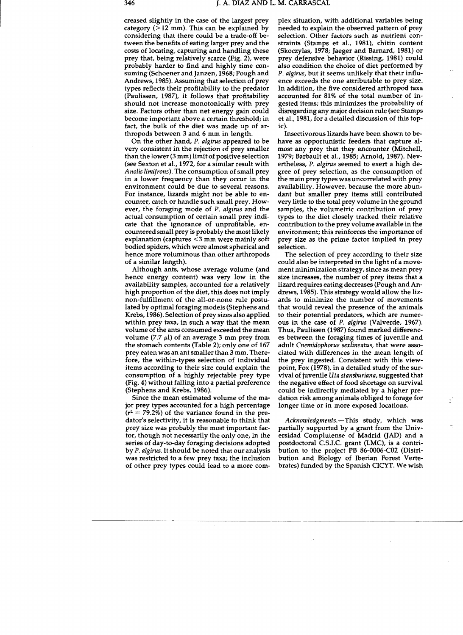creased slight1y in the case of the largest prey category  $(>12$  mm). This can be explained by considering that there could be a trade-off between the benefits of eating larger prey and the costs of locating, capturing and handling these prey that, being relatively scarce (Pig. 2), were probably harder to find and highly time consuming (Schoener and Janzen, 1968; Pough and Andrews, 1985). Assuming that selection of prey types reflects their profitability to the predator (Paulissen, 1987), it follows that profitability should not increase monotonically with prey size. Factors other than net energy gain could become important above a certain threshold; in fact, the bulk of the diet was made up of arthropods between 3 and 6 mm in length.

On the other hand, P. *algirus* appeared to be very consistent in the rejection of prey smaller than the lower (3 mm) limitof positive selection (see Sexton et al., 1972, for a similar result with *Anolis limifrons).* The consumption of small prey in a lower frequency than they occur in the environment could be due to several reasons. For instance, lizards might not be able to encounter, catch or handle such small prey. However, the foraging mode of P. *algirus* and the actual consumption of certain small prey indicate that the ignorance of unprofitable, encounteredsmall prey is probably the most likely explanation (captures <3 mm were mainly soft bodied spiders, which were almost spherical and hence more voluminous than other arthropods of a similar length).

Although ants, whose average volume (and hence energy content) was very low in the availability samples, accounted for a relatively high proportion of the diet, this does not imply non-fulfillment of the all-or-none rule postulated by optimal foraging models (Stephens and Krebs, 1986). Selection of prey sizes also applied within prey taxa, in such a way that the mean volume of the ants consumed exceeded the mean volume (7.7  $\mu$ ) of an average 3 mm prey from the stomach contents (Table 2); only one of 167 prey eaten was an ant smaller than 3 mm. Therefore, the within-types selection of individual items according to their size could explain the consumption of a highly rejectable prey type (Fig. 4) without falling into a partial preference (Stephens and Krebs, 1986).

Since the mean estimated volume of the major prey types accounted for a high percentage  $(r^2 = 79.2\%)$  of the variance found in the predator's selectivity, it is reasonable to think that prey size was probably the most important factor, though not necessarily the only one, in the series of day-to-day foraging decisions adopted by P. *algirus.* Itshould be noted that our analysis was restricted to a few prey taxa; the inclusion of other prey types could lead to a more com-

plex situation, with additional variables being needed to explain the observed pattern of prey selection. Other factors such as nutrient constraints (Stamps et al., 1981), chitin content (Skoczylas, 1978; Jaeger and Barnard, 1981) or prey defensive behavior (Rissing, 1981) could also condition the choice of diet performed by P. *algirus,* but it seems unlikely that their influence exceeds the one attributable to prey size. In addition, the five considered arthropod taxa accounted for 81% of the total number of ingested items; this minimizes the probability of disregarding any major decision rule (see Stamps et al., 1981, for a detailed discussion of this topic).

Insectivorous lizards have been shown to behave as opportunistic feeders that capture almost any prey that they encounter (Mitchell, 1979; Barbault et al., 1985; Arnold, 1987). Nevertheless, P. *algirus* seemed to exert a high degree of prey selection, as the consumption of the main prey types was uncorrelated with prey availability. However, because the more abundant but smaller prey items still contributed very little to the total prey volume in the ground samples, the volumetric contribution of prey types to the diet closely tracked their relative contribution to the prey volume available in the environment; this reinforces the importance of prey size as the prime factor implied in prey selection.

The selection of prey according to their size could also be interpreted in the light of a movement minimization strategy, since as mean prey size increases, the number of prey items that a lizard requires eating decreases (Pough and Andrews, 1985). This strategy would allow the lizards to minimize the number of movements that would reveal the presence of the animals to their potential predators, which are numerous in the case of P. *algirus* (Valverde, 1967). Thus, Paulissen (1987) found marked differences between the foraging times of juvenile and adult *Cnemidophorus sexlineatus,* that were associated with differences in the mean length of the prey ingested. Consistent with this viewpoint, Fox (1978), in a detailed study of the survival of juvenile *Uta stansburiana,* suggested that the negative effect of food shortage on survival could be indirectly mediated by a higher predation risk among animals obliged to forage for longer time or in more exposed locations.

*Acknowledgments.-*This study, which was partially supported by a grant from the Universidad Complutense of Madrid (JAD) and a postdoctoral C.S.I.C. grant (LMC), is a contribution to the project PB 86-0006-C02 (Oistribution and Biology of Iberian Forest Vertebrates) funded by the Spanish CICYT. We wish ÷,